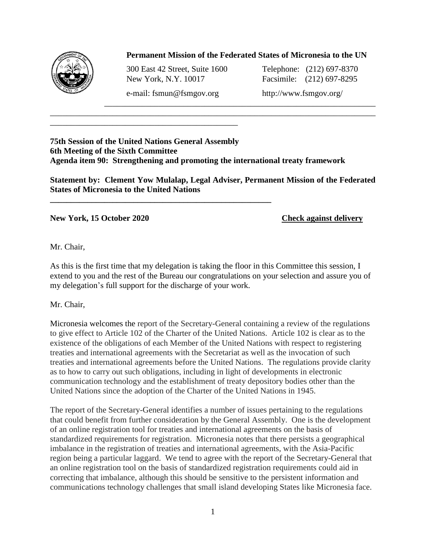

## **Permanent Mission of the Federated States of Micronesia to the UN**

\_\_\_\_\_\_\_\_\_\_\_\_\_\_\_\_\_\_\_\_\_\_\_\_\_\_\_\_\_\_\_\_\_\_\_\_\_\_\_\_\_\_\_\_\_\_\_\_\_\_\_\_\_\_\_\_\_\_\_\_\_\_\_\_\_

300 East 42 Street, Suite 1600 Telephone: (212) 697-8370 New York, N.Y. 10017 Facsimile: (212) 697-8295

\_\_\_\_\_\_\_\_\_\_\_\_\_\_\_\_\_\_\_\_\_\_\_\_\_\_\_\_\_\_\_\_\_\_\_\_\_\_\_\_\_\_\_\_\_

**\_\_\_\_\_\_\_\_\_\_\_\_\_\_\_\_\_\_\_\_\_\_\_\_\_\_\_\_\_\_\_\_\_\_\_\_\_\_\_\_\_\_\_\_\_\_\_\_\_\_\_\_\_**

e-mail: fsmun@fsmgov.org http://www.fsmgov.org/

## **75th Session of the United Nations General Assembly 6th Meeting of the Sixth Committee Agenda item 90: Strengthening and promoting the international treaty framework**

**Statement by: Clement Yow Mulalap, Legal Adviser, Permanent Mission of the Federated States of Micronesia to the United Nations**

\_\_\_\_\_\_\_\_\_\_\_\_\_\_\_\_\_\_\_\_\_\_\_\_\_\_\_\_\_\_\_\_\_\_\_\_\_\_\_\_\_\_\_\_\_\_\_\_\_\_\_\_\_\_\_\_\_\_\_\_\_\_\_\_\_\_\_\_\_\_\_\_\_\_\_\_\_\_

## **New York, 15 October 2020 Check against delivery**

Mr. Chair,

As this is the first time that my delegation is taking the floor in this Committee this session, I extend to you and the rest of the Bureau our congratulations on your selection and assure you of my delegation's full support for the discharge of your work.

Mr. Chair,

Micronesia welcomes the report of the Secretary-General containing a review of the regulations to give effect to Article 102 of the Charter of the United Nations. Article 102 is clear as to the existence of the obligations of each Member of the United Nations with respect to registering treaties and international agreements with the Secretariat as well as the invocation of such treaties and international agreements before the United Nations. The regulations provide clarity as to how to carry out such obligations, including in light of developments in electronic communication technology and the establishment of treaty depository bodies other than the United Nations since the adoption of the Charter of the United Nations in 1945.

The report of the Secretary-General identifies a number of issues pertaining to the regulations that could benefit from further consideration by the General Assembly. One is the development of an online registration tool for treaties and international agreements on the basis of standardized requirements for registration. Micronesia notes that there persists a geographical imbalance in the registration of treaties and international agreements, with the Asia-Pacific region being a particular laggard. We tend to agree with the report of the Secretary-General that an online registration tool on the basis of standardized registration requirements could aid in correcting that imbalance, although this should be sensitive to the persistent information and communications technology challenges that small island developing States like Micronesia face.